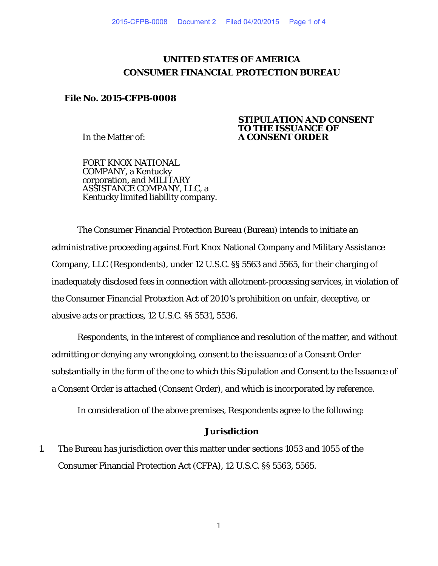# **UNITED STATES OF AMERICA CONSUMER FINANCIAL PROTECTION BUREAU**

## **File No. 2015-CFPB-0008**

In the Matter of:

FORT KNOX NATIONAL COMPANY, a Kentucky corporation, and MILITARY ASSISTANCE COMPANY, LLC, a Kentucky limited liability company.

### **STIPULATION AND CONSENT TO THE ISSUANCE OF A CONSENT ORDER**

The Consumer Financial Protection Bureau (Bureau) intends to initiate an administrative proceeding against Fort Knox National Company and Military Assistance Company, LLC (Respondents), under 12 U.S.C. §§ 5563 and 5565, for their charging of inadequately disclosed fees in connection with allotment-processing services, in violation of the Consumer Financial Protection Act of 2010's prohibition on unfair, deceptive, or abusive acts or practices, 12 U.S.C. §§ 5531, 5536.

Respondents, in the interest of compliance and resolution of the matter, and without admitting or denying any wrongdoing, consent to the issuance of a Consent Order substantially in the form of the one to which this Stipulation and Consent to the Issuance of a Consent Order is attached (Consent Order), and which is incorporated by reference.

In consideration of the above premises, Respondents agree to the following:

### **Jurisdiction**

1. The Bureau has jurisdiction over this matter under sections 1053 and 1055 of the Consumer Financial Protection Act (CFPA), 12 U.S.C. §§ 5563, 5565.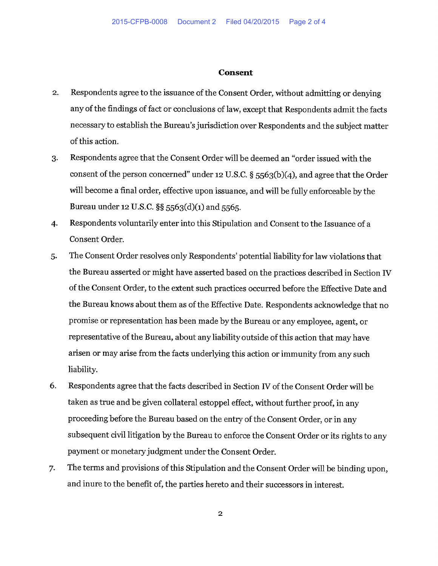#### **Consent**

- $2.$ Respondents agree to the issuance of the Consent Order, without admitting or denying any of the findings of fact or conclusions of law, except that Respondents admit the facts necessary to establish the Bureau's jurisdiction over Respondents and the subject matter of this action.
- Respondents agree that the Consent Order will be deemed an "order issued with the  $3.$ consent of the person concerned" under 12 U.S.C. § 5563(b)(4), and agree that the Order will become a final order, effective upon issuance, and will be fully enforceable by the Bureau under 12 U.S.C. §§ 5563(d)(1) and 5565.
- $4.$ Respondents voluntarily enter into this Stipulation and Consent to the Issuance of a Consent Order.
- The Consent Order resolves only Respondents' potential liability for law violations that 5. the Bureau asserted or might have asserted based on the practices described in Section IV of the Consent Order, to the extent such practices occurred before the Effective Date and the Bureau knows about them as of the Effective Date. Respondents acknowledge that no promise or representation has been made by the Bureau or any employee, agent, or representative of the Bureau, about any liability outside of this action that may have arisen or may arise from the facts underlying this action or immunity from any such liability.
- 6. Respondents agree that the facts described in Section IV of the Consent Order will be taken as true and be given collateral estoppel effect, without further proof, in any proceeding before the Bureau based on the entry of the Consent Order, or in any subsequent civil litigation by the Bureau to enforce the Consent Order or its rights to any payment or monetary judgment under the Consent Order.
- The terms and provisions of this Stipulation and the Consent Order will be binding upon, 7. and inure to the benefit of, the parties hereto and their successors in interest.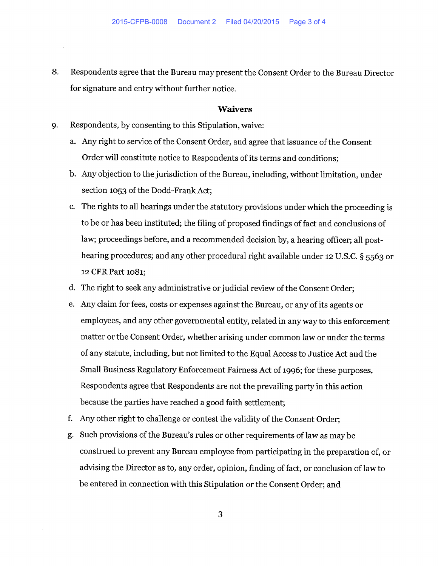8. Respondents agree that the Bureau may present the Consent Order to the Bureau Director for signature and entry without further notice.

#### **Waivers**

- 9. Respondents, by consenting to this Stipulation, waive:
	- a. Any right to service of the Consent Order, and agree that issuance of the Consent Order will constitute notice to Respondents of its terms and conditions;
	- b. Any objection to the jurisdiction of the Bureau, including, without limitation, under section 1053 of the Dodd-Frank Act;
	- The rights to all hearings under the statutory provisions under which the proceeding is c. to be or has been instituted; the filing of proposed findings of fact and conclusions of law; proceedings before, and a recommended decision by, a hearing officer; all posthearing procedures; and any other procedural right available under 12 U.S.C. § 5563 or 12 CFR Part 1081;
	- d. The right to seek any administrative or judicial review of the Consent Order;
	- e. Any claim for fees, costs or expenses against the Bureau, or any of its agents or employees, and any other governmental entity, related in any way to this enforcement matter or the Consent Order, whether arising under common law or under the terms of any statute, including, but not limited to the Equal Access to Justice Act and the Small Business Regulatory Enforcement Fairness Act of 1996; for these purposes, Respondents agree that Respondents are not the prevailing party in this action because the parties have reached a good faith settlement;
	- f. Any other right to challenge or contest the validity of the Consent Order;
	- Such provisions of the Bureau's rules or other requirements of law as may be g. construed to prevent any Bureau employee from participating in the preparation of, or advising the Director as to, any order, opinion, finding of fact, or conclusion of law to be entered in connection with this Stipulation or the Consent Order; and